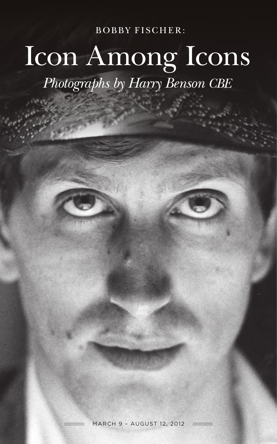**BOBBY FISCHER:** 

# Icon Among Icons *Photographs by Harry Benson CBE*

March 9 – August 12, 2012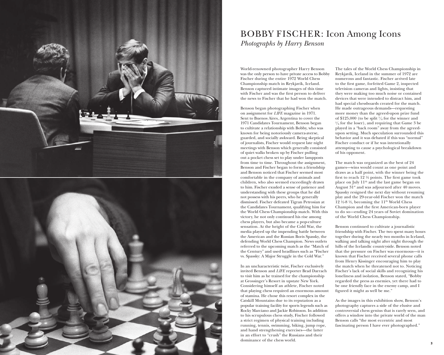



# BOBBY FISCHER: Icon Among Icons *Photographs by Harry Benson*

World-renowned photographer Harry Benson was the only person to have private access to Bobby Fischer during the entire 1972 World Chess Championship match in Reykjavík, Iceland. Benson captured intimate images of this time with Fischer and was the first person to deliver the news to Fischer that he had won the match.

Benson began photographing Fischer when<br>on assignment for *LIFE* magazine in 1971. Sent to Buenos Aires, Argentina to cover the 1971 Candidates Tournament, Benson began to cultivate a relationship with Bobby, who was known for being notoriously camera-averse, guarded, and socially awkward. Being skeptical of journalists, Fischer would request late night meetings with Benson which generally consisted of quiet walks broken up by Fischer pulling out a pocket chess set to play under lampposts from time to time. Throughout the assignment, Benson and Fischer began to form a friendship and Benson noticed that Fischer seemed most comfortable in the company of animals and children, who also seemed exceedingly drawn to him. Fischer exuded a sense of patience and understanding with these groups that he did not possess with his peers, who he generally dismissed. Fischer defeated Tigran Petrosian at the Candidates Tournament, qualifying him for the World Chess Championship match. With this victory, he not only continued his rise among chess players, but also became a pop-culture sensation. At the height of the Cold War, the media played up the impending battle between the American and the Russian Boris Spassky, the defending World Chess Champion. News outlets referred to the upcoming match as the "Match of the Century" and used headlines such as "Fischer vs. Spassky: A Major Struggle in the Cold War."

In an uncharacteristic twist, Fischer exclusively invited Benson and *LIFE* reporter Brad Darrach to visit him as he trained for the championship at Grossinger's Resort in upstate New York. Considering himself an athlete, Fischer noted that playing chess required an enormous amount of stamina. He chose this resort complex in the Catskill Mountains due to its reputation as a popular training facility for sports legends such as Rocky Marciano and Jackie Robinson. In addition to his scrupulous chess study, Fischer followed a strict regimen of physical training including running, tennis, swimming, biking, jump rope, and hand strengthening exercises—the latter in an effort to "crush" the Russians and their dominance of the chess world.

The tales of the World Chess Championship in Reykjavík, Iceland in the summer of 1972 are numerous and fantastic. Fischer arrived late to the first game, forfeited Game 2, inspected television cameras and lights, insisting that they were making too much noise or contained devices that were intended to distract him, and<br>had special chessboards created for the match. He made outrageous demands—requesting more money than the agreed-upon prize fund of \$125,000 (to be split 5/8 for the winner and  $\frac{3}{8}$  for the loser), and requiring that Game 3 be played in a "back room" away from the agreedupon setting. Much speculation surrounded this behavior and it was debated if this was "normal" Fischer conduct or if he was intentionally attempting to cause a psychological breakdown of his opponent.

The match was organized as the best of 24 games—wins would count as one point and draws as a half point, with the winner being the first to reach 12 ½ points. The first game took place on July  $11^{\text{th}}$  and the last game began on<br>August  $31^{\text{st}}$  and was adjourned after 40 moves. Spassky resigned the next day without resuming play and the 29-year-old Fischer won the match 12  $\frac{1}{2}$  %-8  $\frac{1}{2}$ , becoming the 11<sup>th</sup> World Chess Champion and the first American-born player to do so—ending 24 years of Soviet domination of the World Chess Championship.

Benson continued to cultivate a journalistic friendship with Fischer. The two spent many hours together during the nearly two months in Iceland, walking and talking night after night through the hills of the Icelandic countryside. Benson noted that the pressure on Fischer was enormous—it is known that Fischer received several phone calls from Henry Kissinger encouraging him to play the match when he threatened not to. Noticing Fischer's lack of social skills and recognizing his loneliness and isolation, Benson stated, "Bobby regarded the press as enemies, yet there had to be one friendly face in the enemy camp, and I figured it might as well be me."

As the images in this exhibition show, Benson's photography captures a side of the elusive and controversial chess genius that is rarely seen, and offers a window into the private world of the man Benson calls "the most eccentric and most fascinating person I have ever photographed."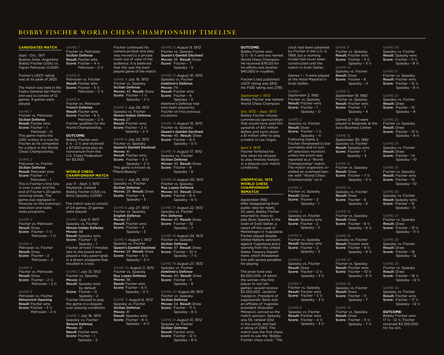# BOBBY FISCHER WORLD CHESS CHAMPIONSHIP TIMELINE

## **Candidates Match**

*Sept.- Oct., 1971*  Buenos Aires, Argentina Bobby Fischer (USA) vs. Tigran Petrosian (USSR)

Fischer's USCF rating was at its peak of 2825.

The match was held in the Teatro General San Martín and was to consist of 12 games. 9 games were played.

# **Game 1**

Fischer vs. Petrosian Sicilian Defense Result: Fischer wins Score: Fischer – 1

Petrosian – 0 This game marks the 20th victory in a row for Fischer as he competed for a place in the World Chess Championship.

**Game 2** Petrosian vs. Fischer Sicilian Defense Result: Petrosian wins

Score: Fischer – 1 Petrosian – 1 This is Fischer's first loss in over a year and the end of Fischer's 20 game winning streak. The game was replayed in Moscow on the evening's

**Game 3** Fischer vs. Petrosian Result: Draw Score: Fischer – 1 ½

television and radio news programs.

Petrosian – 1 ½ **Game 4**

Petrosian vs. Fischer Result: Draw Score: Fischer – 2 Petrosian – 2

### **Game 5** Fischer vs. Petrosian Result: Draw

Score: Fischer – 2 ½ Petrosian – 2 ½ **Game 6**

Petrosian vs. Fischer Nimzovich Opening Result: Fischer wins Score: Fischer – 3 ½ Petrosian – 2 ½ **Game 7** Fischer vs. Petrosian Sicilian Defense Result: Fischer wins Score: Fischer – 4 ½ Petrosian – 2 ½

**Game 8** Petrosian vs. Fischer Result: Fischer wins Score: Fischer – 5 ½ Petrosian – 2 ½

**Game 9** Fischer vs. Petrosian French Defense Result: Fischer wins Score: Fischer – 6 ½ Petrosian – 2 ½ Fischer qualifies for the World Championship.

### **Outcome:**

Bobby Fischer won 6 ½ - 2 ½ and received a \$7,500 prize plus an honorarium from the U.S. Chess Federation for \$3,000.

# **World chess Championship Match**

*July 11 – Sept. 1, 1972* Reykjavík, Iceland Bobby Fischer (USA) vs. Boris Spassky (USSR) The match was to consist

of 24 games. 21 games were played. **Game 1** *July 11, 1972*  Spassky vs. Fischer Nimzo-Indian Defense Moves: 56

Result: Spassky wins Score: Fischer – 0 Spassky – 1 Fischer arrived 7 minutes late to the board and played a risky pawn-grab in a drawn endgame that resulted in a loss.

**Game 2** *July 13, 1972* Fischer vs. Spassky Moves: 0 Result: Spassky wins by default

Score: Fischer – 0 Spassky – 2 Fischer refused to play the game in a dispute over playing conditions. **Game 3** *July 16, 1972* Spassky vs. Fischer<br>**Benoni Defense** 

Moves: 41 Result: Fischer wins Score: Fischer – 1 Spassky – 2

Fischer continued his camera protest and play was moved to a private room out of view of the audience. It is believed that this was the bestplayed game of the match.

> **Game 4** *July 18, 1972* Fischer vs. Spassky Sicilian Defense Moves: 45 Result: Draw Score: Fischer – 1 ½ Spassky – 2 ½

**Game 5** *July 20, 1972* Spassky vs. Fischer Nimzo-Indian Defense Moves: 27 Result: Fischer wins Score: Fischer – 2 ½ Spassky – 2 ½

**Game 6** *July 23, 1972* Fischer vs. Spassky Queen's Gambit Declined Moves: 41 Result: Fischer wins Score: Fischer – 3 ½ Spassky – 2 ½

# This game is known as "Placid Beauty."

**Game 7** *July 25, 1972* Spassky vs. Fischer Sicilian Defense Moves: 29 Result: Draw Score: Fischer – 4 Spassky – 3

**Game 8** *July 27, 1972* Fischer vs. Spassky English Defense Moves: 37 Result: Fischer wins Score: Fischer – 5 Spassky – 3

**Game 9** *August 1, 1972* Spassky vs. Fischer Queen's Gambit Declined Moves: 29 Result: Draw Score: Fischer – 5 ½ Spassky – 3 ½

**Game 10** *August 3, 1972* Fischer vs. Spassky Ruy Lopez Defense Moves: 56 Result: Fischer wins Score: Fischer – 6 ½ Spassky – 3 ½

**Game 11** *August 6, 1972*  Spassky vs. Fischer Sicilian Defense Moves: 31 Result: Spassky wins Score: Fischer – 6 ½ Spassky – 4 ½

**Game 12** *August 8, 1972* Fischer vs. Spassky Queen's Gambit Declined Moves: 55 Result: Draw Score: Fischer – 7 Spassky – 5

**Game 13** *August 10, 1972* Spassky vs. Fischer Alekhine's Defense Moves: 74 Result: Fischer wins Score: Fischer – 8 Spassky – 5 Alekhine's Defense had only been played by Fischer on five previous occasions.

**Game 14** *August 15, 1972* Fischer vs. Spassky Queen's Gambit Declined Moves: 40 Result: Draw Score: Fischer – 8 ½ Spassky – 5 ½

**Game 15** *August 17, 1972* Spassky vs. Fischer Sicilian Defense Moves: 43 Result: Draw Score: Fischer – 9 Spassky – 6

**Game 16** *August 20, 1972* Fischer vs. Spassky Ruy Lopez Defense Moves: 60 Result: Draw Score: Fischer – 9 ½ Spassky – 6 ½

**Game 17** *August 22, 1972* Spassky vs. Fischer Pirc Defense Moves: 45 Result: Draw Score: Fischer – 10 Spassky – 7

**Game 18** *August 24, 1972* Fischer vs. Spassky Sicilian Defense Moves: 47 Result: Draw Score: Fischer – 10 ½ Spassky – 7 ½

**Game 19** *August 27, 1972* Spassky vs. Fischer Alekhine's Defense Moves: 40 Result: Draw Score: Fischer - 11 Spassky – 8

**Game 20** *August 29, 1972* Fischer vs. Spassky Sicilian Defense Moves: 54 Result: Draw Score: Fischer – 11 ½ Spassky – 8 ½

**Game 21** *August 31, 1972* Spassky vs. Fischer Sicilian Defense Result: Fischer wins Score: Fischer – 12 ½ Spassky – 8 ½

# **Outcome:**

Bobby Fischer won 12  $\frac{1}{2}$  - 8  $\frac{1}{2}$  and was named World Chess Champion. He received \$78,125 for his efforts and another \$40,000 in royalties.

Fischer's last published USCF rating was 2810. His FIDE rating was 2785.

### *September 1, 1972* Bobby Fischer was named World Chess Champion.

*Oct. 1972 – Sept. 1973* Bobby Fischer refuses commercial sponsorships that would have paid him upwards of \$10 million dollars and turns down a \$1 million offer to play a match in Las Vegas.

*April 3, 1975* Fischer forfeited his title when he refused to play Anatoly Karpov in a dispute over match

conditions.

**Unofficial 1972 World Chess** 

Fischer vs. Spassky Result: Fischer wins Score: Fischer – 1 Spassky – 0

Sveti Stefan. **Game 1** *September 2, 1992*

1989, but a working model had never been constructed until the match in Sveti Stefan.

**Game 2** Spassky vs. Fischer Result: Draw Score: Fischer – 1 ½ Spassky – ½ Following Game 2, Fischer threatened to bar journalists and to turn off television monitors unless the event was reported as a "World Championship" match.

The match organizers installed an overhead banner with "World Chess Championship" on it. **Game 3** Fischer vs. Spassky

Result: Draw Score: Fischer - 2 Spassky – 1

**Game 4** Spassky vs. Fischer Result: Spassky wins Score: Fischer – 2 Spassky – 2

**Game 5** Fischer vs. Spassky Result: Spassky wins Score: Fischer - 2 Spassky – 3

**Game 6** Spassky vs. Fischer Result: Draw Score: Fischer – 2 ½ Spassky – 3 ½

Fischer vs. Spassky Result: Fischer wins Score: Fischer – 3 ½ Spassky – 3 ½

**Game 8** Spassky vs. Fischer Result: Fischer wins Score: Fischer – 4 ½ Spassky – 3 ½

clock had been patented by Fischer in the U.S. in **Game 9** Fischer vs. Spassky Result: Fischer wins Score: Fischer – 5 ½ Spassky – 3 ½ **Game 10** Spassky vs. Fischer

Games 1 – 11 were played at the Hotel Maestral in Result: Draw Score: Fischer – 6 Spassky – 4 **Game 11**

*September 19, 1992* 

Fischer vs. Spassky Result: Fischer wins Score: Fischer - 7 Spassky – 4

Games 12 – 30 were played in Belgrade at the Sava Business Center.

# **Game 12**

*September 30, 1992*  Spassky vs. Fischer Result: Spassky wins Score: Fischer – 7 Spassky – 5

**Game 13** Fischer vs. Spassky Result: Draw

**Game 14**

# Score: Fischer - 7 1/2 Spassky – 5 ½

Spassky vs. Fischer Result: Draw Score: Fischer – 8 Spassky – 6

**Game 15** Fischer vs. Spassky Result: Draw

> Spassky – 6 ½ Spassky – 11 ½

> > Result: Draw Spassky – 12

**Game 16** Spassky vs. Fischer Result: Fischer wins Score: Fischer – 9 ½ Spassky – 6 ½

Result: Fischer wins Score: Fischer – 10 ½

Score: Fischer - 8 ½

### **Game 18** Spassky vs. Fischer Result: Draw Score: Fischer – 11 Spassky – 7

Fischer vs. Spassky Result: Draw Score: Fischer – 11 ½ **Game 20** Spassky vs. Fischer Result: Spassky wins Score: Fischer – 11 ½ Spassky – 8 ½

**Game 21** Fischer vs. Spassky Result: Fischer wins Score: Fischer – 12 ½ Spassky – 8 ½

**Game 22** Spassky vs. Fischer Result: Draw Score: Fischer – 13 Spassky – 9

**Game 23** Fischer vs. Spassky Result: Draw Score: Fischer – 13 ½ Spassky – 9 ½

# **Game 24** Spassky vs. Fischer Result: Draw

Score: Fischer – 14 Spassky – 10

**Game 25** Fischer vs. Spassky Result: Fischer wins Score: Fischer – 15

Spassky – 10 **Game 26**

Spassky vs. Fischer Result: Spassky wins Score: Fischer – 15 Spassky – 11

# **Game 27** Fischer vs. Spassky Result: Draw Score: Fischer – 15 ½

**Game 28** Spassky vs. Fischer Score: Fischer – 16

Spassky – 12 ½

# **Game 17**

Fischer vs. Spassky Spassky – 6 ½ **Game 29** Fischer vs. Spassky Result: Draw Score: Fischer – 16 ½

# **Game 30** Spassky vs. Fischer Result: Fischer wins Score: Fischer – 17 ½ Spassky – 12 ½

# **Game 19**

Spassky – 7 ½

## **Outcome:**  Bobby Fischer won 17 ½ - 12 ½. Fischer received \$3,350,000 for his win.

# \$3,350,000. Jezdimir **Game 7**

Vasiljevic, President of Jugoskandic Bank and an affiliate of Yugoslav president Slobodan Miloševic, served as the match sponsor. Spassky was 55, ranked 101st in the world, and had a rating of 2560. The match was the first chess event to use the "Bobby Fischer chess clock." The

**Championship rematch** *September 1992* After disappearing from public view for nearly 20 years, Bobby Fischer returned to chess to play Boris Spassky in the town of Sveti Stefan, a

### resort off the coast of Montenegro in Yugoslavia. Fischer played despite United Nations sanctions against Yugoslavia and a warning from the United States Treasury Depart-

him with severe penalties for playing. The prize fund was \$5,000,000, of which the winner—the first player to win ten games—would receive

ment, which threatened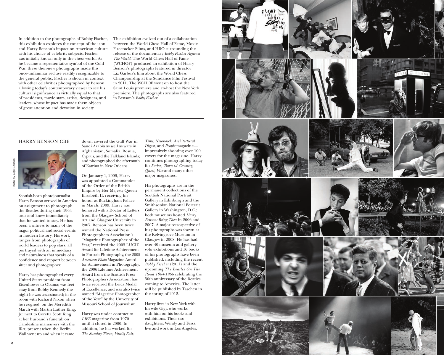In addition to the photographs of Bobby Fischer, this exhibition explores the concept of the icon and Harry Benson's impact on American culture with his choice of celebrity subjects. Fischer was initially known only in the chess world. As he became a representative symbol of the Cold War, these then-new photographs made this once-unfamiliar recluse readily recognizable to the general public. Fischer is shown in context with other celebrities photographed by Benson allowing today's contemporary viewer to see his cultural significance as virtually equal to that of presidents, movie stars, artists, designers, and leaders, whose impact has made them objects of great attention and devotion in society.

This exhibition evolved out of a collaboration between the World Chess Hall of Fame, Moxie Firecracker Films, and H B O surrounding the release of the documentary *Bobby Fischer Against The World*. The World Chess Hall of Fame (WCHOF) produced an exhibition of Harry Benson's photographs featured in director Liz Garbus's film about the World Chess Championship at the Sundance Film Festival in 2011. The WCHOF went on to host the Saint Louis premiere and co-host the New York premiere. The photographs are also featured in Benson's *Bobby Fischer*.

# Harry Be nso n C B E

Scottish-born photojournalist Harry Benson arrived in America on assignment to photograph the Beatles during their 1964 tour and knew immediately that he wanted to stay. He has been a witness to many of the major political and social events in modern history. His work ranges from photographs of world leaders to pop stars, all portrayed with an immediacy and naturalness that speaks of a confidence and rapport between sitter and photographer. Harry has photographed every

United States president from Eisenhower to Obama; was feet away from Bobby Kennedy the night he was assassinated; in the room with Richard Nixon when he resigned; on the Meredith March with Martin Luther King, Jr.; next to Coretta Scott King at her husband's funeral; on clandestine maneuvers with the IRA; present when the Berlin Wall went up and when it came

down; covered the Gulf War in Saudi Arabia as well as wars in Afghanistan, Somalia, Bosnia, Cyprus, and the Falkland Islands; and photographed the aftermath of Katrina in New Orleans.

On January 1, 2009, Harry was appointed a Commander of the Order of the British Empire by Her Majesty Queen Elizabeth II, receiving his honor at Buckingham Palace in March, 2009. Harry was honored with a Doctor of Letters from the Glasgow School of Art and Glasgow University in 2007. Benson has been twice named the National Press Photographers Association's Year," received the 2005 LUCIE Award for Lifetime Achievement in Portrait Photography, the 2005 *American Photo* Magazine Award for Achievement in Photography, the 2006 Lifetime Achievement Award from the Scottish Press Photographers Association; has twice received the Leica Medal of Excellence; and was also twice named "Magazine Photographer of the Year" by the University of Missouri School of Journalism.

Harry was under contract to *LIFE* magazine from 1970 until it closed in 2000. In addition, he has worked for *The Sunday Times, Vanity Fair,*

*Time, Newsweek, Architectural Digest,* and *People* magazine impressively shooting over 100 covers for the magazine. Harry continues photographing today for *Forbes, Town & Country, Quest, Vice* and many other

His photographs are in the permanent collections of the Scottish National Portrait Gallery in Edinburgh and the Smithsonian National Portrait Gallery in Washington, D. C.; both museums hosted *Harry Benson: Being There* in 2006 and 2007. A major retrospective of his photographs was shown at the Kelvingrove Museum in Glasgow in 2008. He has had over 40 museum and gallery solo exhibitions and 16 books of his photographs have been published, including the recent *Bobby Fischer* (2011) and the upcoming *The Beatles On The Road 1964-1966* celebrating the 50th anniversary of the Beatles coming to America. The latter will be published by Taschen in the spring of 2012.

Harry lives in New York with his wife Gigi, who works with him on his books and exhibitions. Their two daughters, Wendy and Tessa, live and work in Los Angeles.